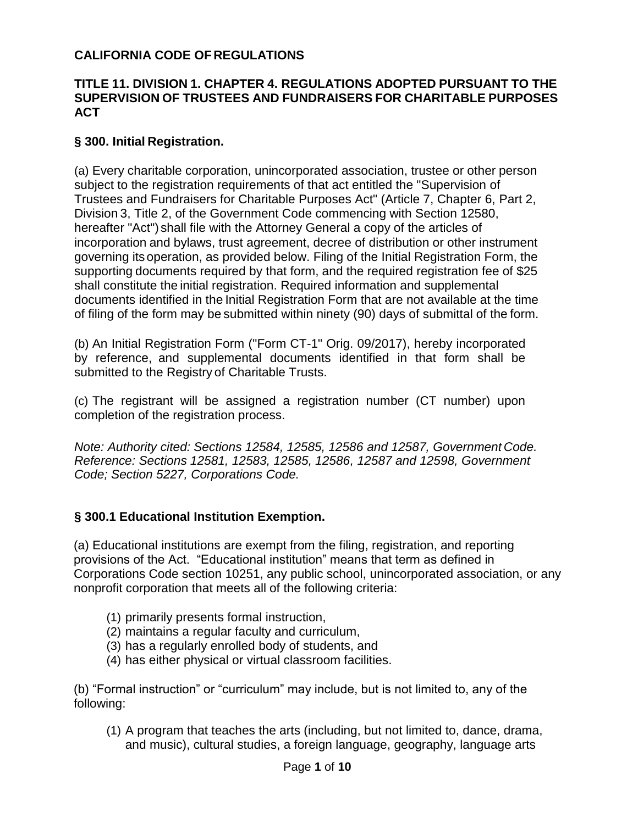## **CALIFORNIA CODE OF REGULATIONS**

### **TITLE 11. DIVISION 1. CHAPTER 4. REGULATIONS ADOPTED PURSUANT TO THE SUPERVISION OF TRUSTEES AND FUNDRAISERS FOR CHARITABLE PURPOSES ACT**

## **§ 300. Initial Registration.**

(a) Every charitable corporation, unincorporated association, trustee or other person subject to the registration requirements of that act entitled the "Supervision of Trustees and Fundraisers for Charitable Purposes Act" (Article 7, Chapter 6, Part 2, Division 3, Title 2, of the Government Code commencing with Section 12580, hereafter "Act") shall file with the Attorney General a copy of the articles of incorporation and bylaws, trust agreement, decree of distribution or other instrument governing itsoperation, as provided below. Filing of the Initial Registration Form, the supporting documents required by that form, and the required registration fee of \$25 shall constitute the initial registration. Required information and supplemental documents identified in the Initial Registration Form that are not available at the time of filing of the form may be submitted within ninety (90) days of submittal of the form.

(b) An Initial Registration Form ("Form CT-1" Orig. 09/2017), hereby incorporated by reference, and supplemental documents identified in that form shall be submitted to the Registry of Charitable Trusts.

(c) The registrant will be assigned a registration number (CT number) upon completion of the registration process.

*Note: Authority cited: Sections 12584, 12585, 12586 and 12587, Government Code. Reference: Sections 12581, 12583, 12585, 12586, 12587 and 12598, Government Code; Section 5227, Corporations Code.*

## **§ 300.1 Educational Institution Exemption.**

(a) Educational institutions are exempt from the filing, registration, and reporting provisions of the Act. "Educational institution" means that term as defined in Corporations Code section 10251, any public school, unincorporated association, or any nonprofit corporation that meets all of the following criteria:

- (1) primarily presents formal instruction,
- (2) maintains a regular faculty and curriculum,
- (3) has a regularly enrolled body of students, and
- (4) has either physical or virtual classroom facilities.

(b) "Formal instruction" or "curriculum" may include, but is not limited to, any of the following:

(1) A program that teaches the arts (including, but not limited to, dance, drama, and music), cultural studies, a foreign language, geography, language arts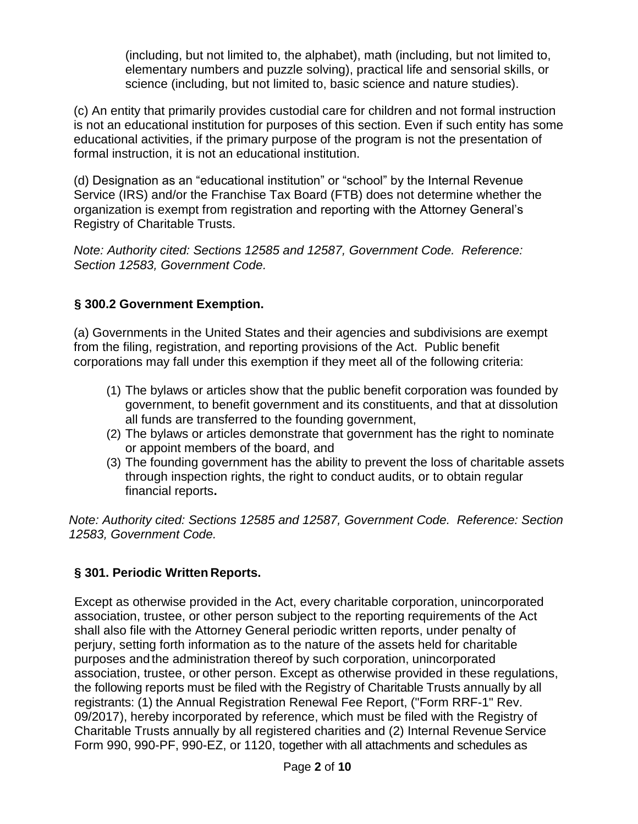(including, but not limited to, the alphabet), math (including, but not limited to, elementary numbers and puzzle solving), practical life and sensorial skills, or science (including, but not limited to, basic science and nature studies).

(c) An entity that primarily provides custodial care for children and not formal instruction is not an educational institution for purposes of this section. Even if such entity has some educational activities, if the primary purpose of the program is not the presentation of formal instruction, it is not an educational institution.

(d) Designation as an "educational institution" or "school" by the Internal Revenue Service (IRS) and/or the Franchise Tax Board (FTB) does not determine whether the organization is exempt from registration and reporting with the Attorney General's Registry of Charitable Trusts.

*Note: Authority cited: Sections 12585 and 12587, Government Code. Reference: Section 12583, Government Code.*

# **§ 300.2 Government Exemption.**

(a) Governments in the United States and their agencies and subdivisions are exempt from the filing, registration, and reporting provisions of the Act. Public benefit corporations may fall under this exemption if they meet all of the following criteria:

- (1) The bylaws or articles show that the public benefit corporation was founded by government, to benefit government and its constituents, and that at dissolution all funds are transferred to the founding government,
- (2) The bylaws or articles demonstrate that government has the right to nominate or appoint members of the board, and
- (3) The founding government has the ability to prevent the loss of charitable assets through inspection rights, the right to conduct audits, or to obtain regular financial reports**.**

*Note: Authority cited: Sections 12585 and 12587, Government Code. Reference: Section 12583, Government Code.* 

## **§ 301. Periodic Written Reports.**

Except as otherwise provided in the Act, every charitable corporation, unincorporated association, trustee, or other person subject to the reporting requirements of the Act shall also file with the Attorney General periodic written reports, under penalty of perjury, setting forth information as to the nature of the assets held for charitable purposes andthe administration thereof by such corporation, unincorporated association, trustee, or other person. Except as otherwise provided in these regulations, the following reports must be filed with the Registry of Charitable Trusts annually by all registrants: (1) the Annual Registration Renewal Fee Report, ("Form RRF-1" Rev. 09/2017), hereby incorporated by reference, which must be filed with the Registry of Charitable Trusts annually by all registered charities and (2) Internal Revenue Service Form 990, 990-PF, 990-EZ, or 1120, together with all attachments and schedules as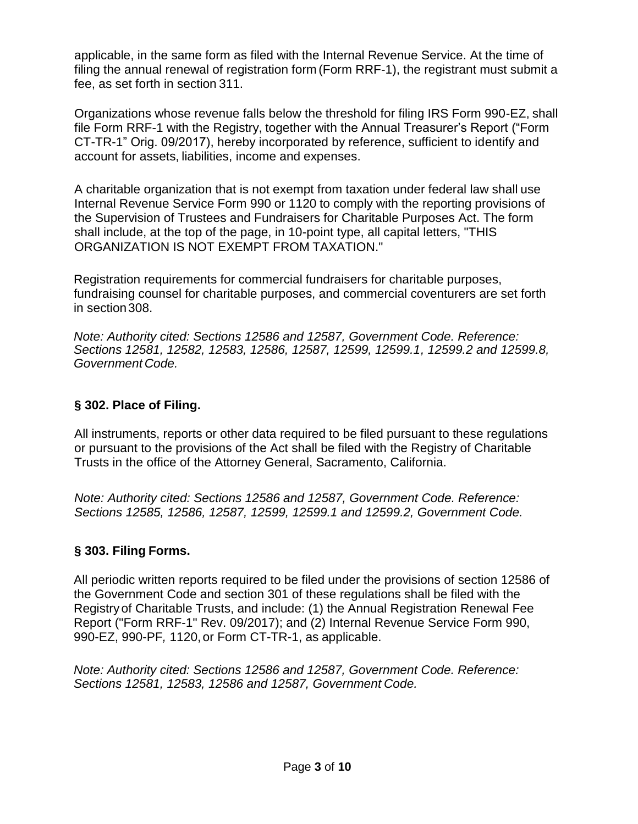applicable, in the same form as filed with the Internal Revenue Service. At the time of filing the annual renewal of registration form (Form RRF-1), the registrant must submit a fee, as set forth in section 311.

Organizations whose revenue falls below the threshold for filing IRS Form 990-EZ, shall file Form RRF-1 with the Registry, together with the Annual Treasurer's Report ("Form CT-TR-1" Orig. 09/2017), hereby incorporated by reference, sufficient to identify and account for assets, liabilities, income and expenses.

A charitable organization that is not exempt from taxation under federal law shall use Internal Revenue Service Form 990 or 1120 to comply with the reporting provisions of the Supervision of Trustees and Fundraisers for Charitable Purposes Act. The form shall include, at the top of the page, in 10-point type, all capital letters, "THIS ORGANIZATION IS NOT EXEMPT FROM TAXATION."

Registration requirements for commercial fundraisers for charitable purposes, fundraising counsel for charitable purposes, and commercial coventurers are set forth in section308.

*Note: Authority cited: Sections 12586 and 12587, Government Code. Reference: Sections 12581, 12582, 12583, 12586, 12587, 12599, 12599.1, 12599.2 and 12599.8, Government Code.*

### **§ 302. Place of Filing.**

All instruments, reports or other data required to be filed pursuant to these regulations or pursuant to the provisions of the Act shall be filed with the Registry of Charitable Trusts in the office of the Attorney General, Sacramento, California.

*Note: Authority cited: Sections 12586 and 12587, Government Code. Reference: Sections 12585, 12586, 12587, 12599, 12599.1 and 12599.2, Government Code.*

#### **§ 303. Filing Forms.**

All periodic written reports required to be filed under the provisions of section 12586 of the Government Code and section 301 of these regulations shall be filed with the Registry of Charitable Trusts, and include: (1) the Annual Registration Renewal Fee Report ("Form RRF-1" Rev. 09/2017); and (2) Internal Revenue Service Form 990, 990-EZ, 990-PF*,* 1120, or Form CT-TR-1, as applicable.

*Note: Authority cited: Sections 12586 and 12587, Government Code. Reference: Sections 12581, 12583, 12586 and 12587, Government Code.*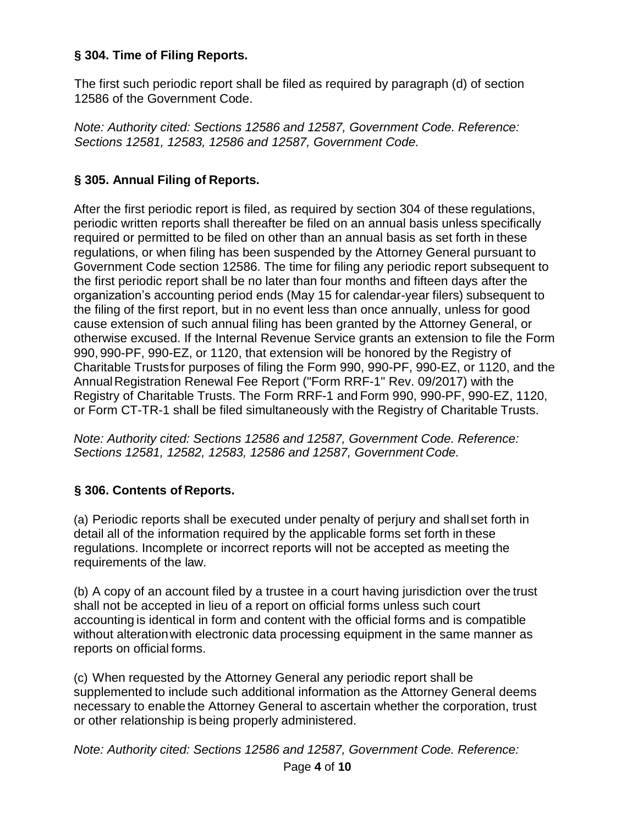# **§ 304. Time of Filing Reports.**

The first such periodic report shall be filed as required by paragraph (d) of section 12586 of the Government Code.

*Note: Authority cited: Sections 12586 and 12587, Government Code. Reference: Sections 12581, 12583, 12586 and 12587, Government Code.*

# **§ 305. Annual Filing of Reports.**

After the first periodic report is filed, as required by section 304 of these regulations, periodic written reports shall thereafter be filed on an annual basis unless specifically required or permitted to be filed on other than an annual basis as set forth in these regulations, or when filing has been suspended by the Attorney General pursuant to Government Code section 12586. The time for filing any periodic report subsequent to the first periodic report shall be no later than four months and fifteen days after the organization's accounting period ends (May 15 for calendar-year filers) subsequent to the filing of the first report, but in no event less than once annually, unless for good cause extension of such annual filing has been granted by the Attorney General, or otherwise excused. If the Internal Revenue Service grants an extension to file the Form 990, 990-PF, 990-EZ, or 1120, that extension will be honored by the Registry of Charitable Trustsfor purposes of filing the Form 990, 990-PF, 990-EZ, or 1120, and the AnnualRegistration Renewal Fee Report ("Form RRF-1" Rev. 09/2017) with the Registry of Charitable Trusts. The Form RRF-1 and Form 990, 990-PF, 990-EZ, 1120, or Form CT-TR-1 shall be filed simultaneously with the Registry of Charitable Trusts.

*Note: Authority cited: Sections 12586 and 12587, Government Code. Reference: Sections 12581, 12582, 12583, 12586 and 12587, Government Code.*

# **§ 306. Contents of Reports.**

(a) Periodic reports shall be executed under penalty of perjury and shall set forth in detail all of the information required by the applicable forms set forth in these regulations. Incomplete or incorrect reports will not be accepted as meeting the requirements of the law.

(b) A copy of an account filed by a trustee in a court having jurisdiction over the trust shall not be accepted in lieu of a report on official forms unless such court accounting is identical in form and content with the official forms and is compatible without alteration with electronic data processing equipment in the same manner as reports on official forms.

(c) When requested by the Attorney General any periodic report shall be supplemented to include such additional information as the Attorney General deems necessary to enable the Attorney General to ascertain whether the corporation, trust or other relationship is being properly administered.

*Note: Authority cited: Sections 12586 and 12587, Government Code. Reference:*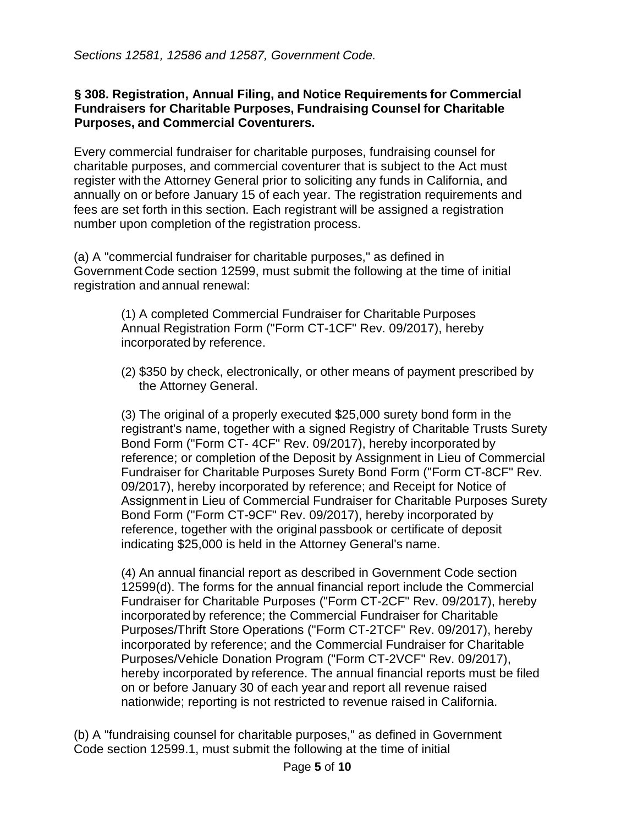*Sections 12581, 12586 and 12587, Government Code.*

#### **§ 308. Registration, Annual Filing, and Notice Requirements for Commercial Fundraisers for Charitable Purposes, Fundraising Counsel for Charitable Purposes, and Commercial Coventurers.**

Every commercial fundraiser for charitable purposes, fundraising counsel for charitable purposes, and commercial coventurer that is subject to the Act must register with the Attorney General prior to soliciting any funds in California, and annually on or before January 15 of each year. The registration requirements and fees are set forth in this section. Each registrant will be assigned a registration number upon completion of the registration process.

(a) A "commercial fundraiser for charitable purposes," as defined in Government Code section 12599, must submit the following at the time of initial registration and annual renewal:

> (1) A completed Commercial Fundraiser for Charitable Purposes Annual Registration Form ("Form CT-1CF" Rev. 09/2017), hereby incorporated by reference.

(2) \$350 by check, electronically, or other means of payment prescribed by the Attorney General.

(3) The original of a properly executed \$25,000 surety bond form in the registrant's name, together with a signed Registry of Charitable Trusts Surety Bond Form ("Form CT- 4CF" Rev. 09/2017), hereby incorporated by reference; or completion of the Deposit by Assignment in Lieu of Commercial Fundraiser for Charitable Purposes Surety Bond Form ("Form CT-8CF" Rev. 09/2017), hereby incorporated by reference; and Receipt for Notice of Assignment in Lieu of Commercial Fundraiser for Charitable Purposes Surety Bond Form ("Form CT-9CF" Rev. 09/2017), hereby incorporated by reference, together with the original passbook or certificate of deposit indicating \$25,000 is held in the Attorney General's name.

(4) An annual financial report as described in Government Code section 12599(d). The forms for the annual financial report include the Commercial Fundraiser for Charitable Purposes ("Form CT-2CF" Rev. 09/2017), hereby incorporated by reference; the Commercial Fundraiser for Charitable Purposes/Thrift Store Operations ("Form CT-2TCF" Rev. 09/2017), hereby incorporated by reference; and the Commercial Fundraiser for Charitable Purposes/Vehicle Donation Program ("Form CT-2VCF" Rev. 09/2017), hereby incorporated by reference. The annual financial reports must be filed on or before January 30 of each year and report all revenue raised nationwide; reporting is not restricted to revenue raised in California.

(b) A "fundraising counsel for charitable purposes," as defined in Government Code section 12599.1, must submit the following at the time of initial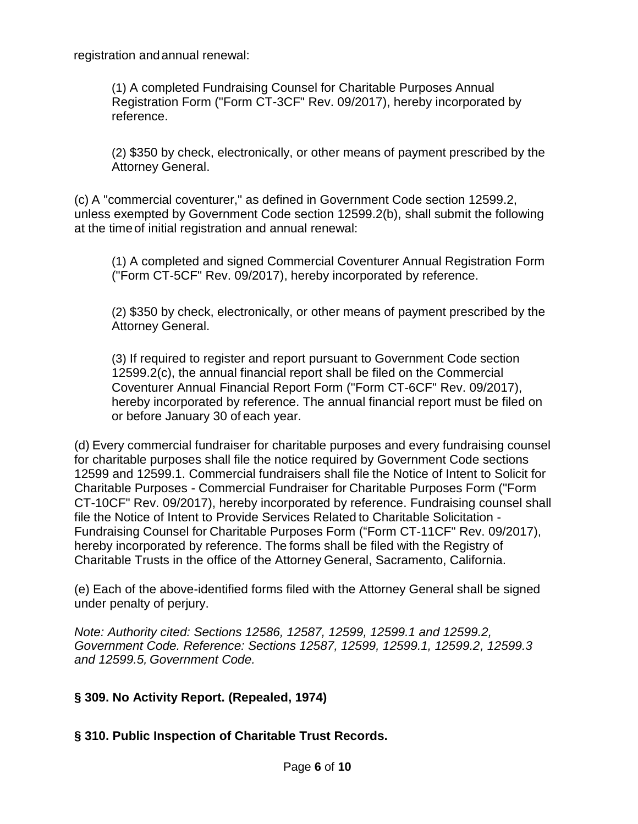registration andannual renewal:

(1) A completed Fundraising Counsel for Charitable Purposes Annual Registration Form ("Form CT-3CF" Rev. 09/2017), hereby incorporated by reference.

(2) \$350 by check, electronically, or other means of payment prescribed by the Attorney General.

(c) A "commercial coventurer," as defined in Government Code section 12599.2, unless exempted by Government Code section 12599.2(b), shall submit the following at the timeof initial registration and annual renewal:

(1) A completed and signed Commercial Coventurer Annual Registration Form ("Form CT-5CF" Rev. 09/2017), hereby incorporated by reference.

(2) \$350 by check, electronically, or other means of payment prescribed by the Attorney General.

(3) If required to register and report pursuant to Government Code section 12599.2(c), the annual financial report shall be filed on the Commercial Coventurer Annual Financial Report Form ("Form CT-6CF" Rev. 09/2017), hereby incorporated by reference. The annual financial report must be filed on or before January 30 of each year.

(d) Every commercial fundraiser for charitable purposes and every fundraising counsel for charitable purposes shall file the notice required by Government Code sections 12599 and 12599.1. Commercial fundraisers shall file the Notice of Intent to Solicit for Charitable Purposes - Commercial Fundraiser for Charitable Purposes Form ("Form CT-10CF" Rev. 09/2017), hereby incorporated by reference. Fundraising counsel shall file the Notice of Intent to Provide Services Related to Charitable Solicitation - Fundraising Counsel for Charitable Purposes Form ("Form CT-11CF" Rev. 09/2017), hereby incorporated by reference. The forms shall be filed with the Registry of Charitable Trusts in the office of the Attorney General, Sacramento, California.

(e) Each of the above-identified forms filed with the Attorney General shall be signed under penalty of perjury.

*Note: Authority cited: Sections 12586, 12587, 12599, 12599.1 and 12599.2, Government Code. Reference: Sections 12587, 12599, 12599.1, 12599.2, 12599.3 and 12599.5, Government Code.*

# **§ 309. No Activity Report. (Repealed, 1974)**

## **§ 310. Public Inspection of Charitable Trust Records.**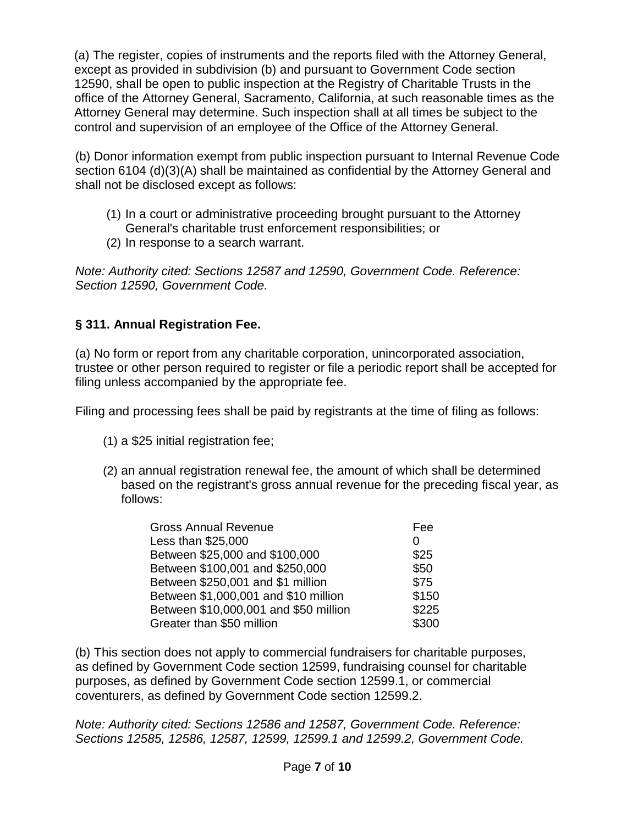(a) The register, copies of instruments and the reports filed with the Attorney General, except as provided in subdivision (b) and pursuant to Government Code section 12590, shall be open to public inspection at the Registry of Charitable Trusts in the office of the Attorney General, Sacramento, California, at such reasonable times as the Attorney General may determine. Such inspection shall at all times be subject to the control and supervision of an employee of the Office of the Attorney General.

(b) Donor information exempt from public inspection pursuant to Internal Revenue Code section 6104 (d)(3)(A) shall be maintained as confidential by the Attorney General and shall not be disclosed except as follows:

- (1) In a court or administrative proceeding brought pursuant to the Attorney General's charitable trust enforcement responsibilities; or
- (2) In response to a search warrant.

*Note: Authority cited: Sections 12587 and 12590, Government Code. Reference: Section 12590, Government Code.*

## **§ 311. Annual Registration Fee.**

(a) No form or report from any charitable corporation, unincorporated association, trustee or other person required to register or file a periodic report shall be accepted for filing unless accompanied by the appropriate fee.

Filing and processing fees shall be paid by registrants at the time of filing as follows:

- (1) a \$25 initial registration fee;
- (2) an annual registration renewal fee, the amount of which shall be determined based on the registrant's gross annual revenue for the preceding fiscal year, as follows:

| <b>Gross Annual Revenue</b>           | Fee   |
|---------------------------------------|-------|
| Less than \$25,000                    | 0     |
| Between \$25,000 and \$100,000        | \$25  |
| Between \$100,001 and \$250,000       | \$50  |
| Between \$250,001 and \$1 million     | \$75  |
| Between \$1,000,001 and \$10 million  | \$150 |
| Between \$10,000,001 and \$50 million | \$225 |
| Greater than \$50 million             | \$300 |

(b) This section does not apply to commercial fundraisers for charitable purposes, as defined by Government Code section 12599, fundraising counsel for charitable purposes, as defined by Government Code section 12599.1, or commercial coventurers, as defined by Government Code section 12599.2.

*Note: Authority cited: Sections 12586 and 12587, Government Code. Reference: Sections 12585, 12586, 12587, 12599, 12599.1 and 12599.2, Government Code.*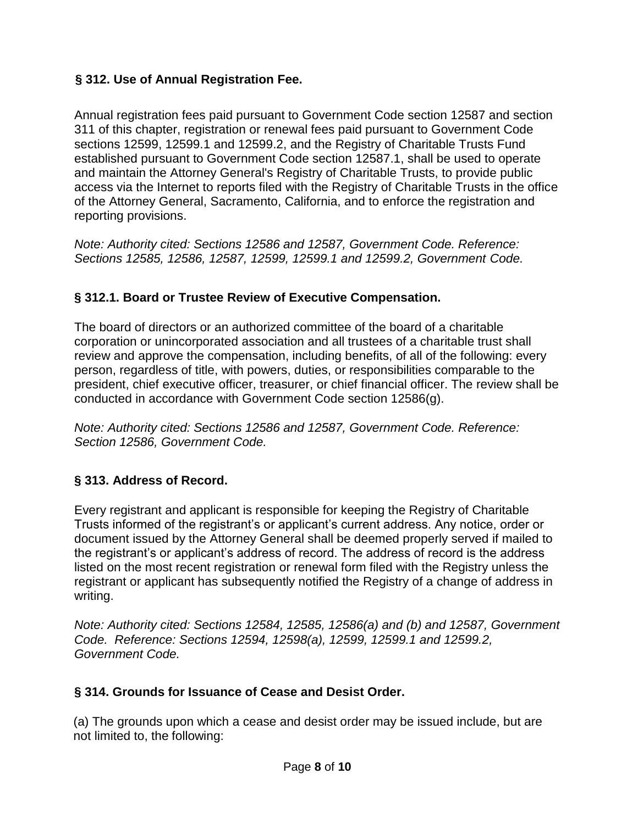# **§ 312. Use of Annual Registration Fee.**

Annual registration fees paid pursuant to Government Code section 12587 and section 311 of this chapter, registration or renewal fees paid pursuant to Government Code sections 12599, 12599.1 and 12599.2, and the Registry of Charitable Trusts Fund established pursuant to Government Code section 12587.1, shall be used to operate and maintain the Attorney General's Registry of Charitable Trusts, to provide public access via the Internet to reports filed with the Registry of Charitable Trusts in the office of the Attorney General, Sacramento, California, and to enforce the registration and reporting provisions.

*Note: Authority cited: Sections 12586 and 12587, Government Code. Reference: Sections 12585, 12586, 12587, 12599, 12599.1 and 12599.2, Government Code.*

## **§ 312.1. Board or Trustee Review of Executive Compensation.**

The board of directors or an authorized committee of the board of a charitable corporation or unincorporated association and all trustees of a charitable trust shall review and approve the compensation, including benefits, of all of the following: every person, regardless of title, with powers, duties, or responsibilities comparable to the president, chief executive officer, treasurer, or chief financial officer. The review shall be conducted in accordance with Government Code section 12586(g).

*Note: Authority cited: Sections 12586 and 12587, Government Code. Reference: Section 12586, Government Code.*

# **§ 313. Address of Record.**

Every registrant and applicant is responsible for keeping the Registry of Charitable Trusts informed of the registrant's or applicant's current address. Any notice, order or document issued by the Attorney General shall be deemed properly served if mailed to the registrant's or applicant's address of record. The address of record is the address listed on the most recent registration or renewal form filed with the Registry unless the registrant or applicant has subsequently notified the Registry of a change of address in writing.

*Note: Authority cited: Sections 12584, 12585, 12586(a) and (b) and 12587, Government Code. Reference: Sections 12594, 12598(a), 12599, 12599.1 and 12599.2, Government Code.*

## **§ 314. Grounds for Issuance of Cease and Desist Order.**

(a) The grounds upon which a cease and desist order may be issued include, but are not limited to, the following: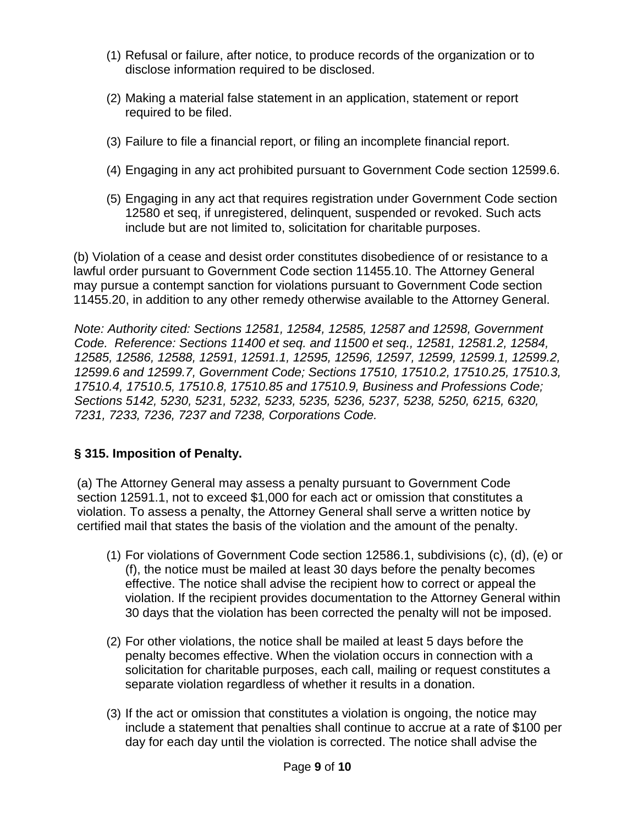- (1) Refusal or failure, after notice, to produce records of the organization or to disclose information required to be disclosed.
- (2) Making a material false statement in an application, statement or report required to be filed.
- (3) Failure to file a financial report, or filing an incomplete financial report.
- (4) Engaging in any act prohibited pursuant to Government Code section 12599.6.
- (5) Engaging in any act that requires registration under Government Code section 12580 et seq, if unregistered, delinquent, suspended or revoked. Such acts include but are not limited to, solicitation for charitable purposes.

(b) Violation of a cease and desist order constitutes disobedience of or resistance to a lawful order pursuant to Government Code section 11455.10. The Attorney General may pursue a contempt sanction for violations pursuant to Government Code section 11455.20, in addition to any other remedy otherwise available to the Attorney General.

*Note: Authority cited: Sections 12581, 12584, 12585, 12587 and 12598, Government Code. Reference: Sections 11400 et seq. and 11500 et seq., 12581, 12581.2, 12584, 12585, 12586, 12588, 12591, 12591.1, 12595, 12596, 12597, 12599, 12599.1, 12599.2, 12599.6 and 12599.7, Government Code; Sections 17510, 17510.2, 17510.25, 17510.3, 17510.4, 17510.5, 17510.8, 17510.85 and 17510.9, Business and Professions Code; Sections 5142, 5230, 5231, 5232, 5233, 5235, 5236, 5237, 5238, 5250, 6215, 6320, 7231, 7233, 7236, 7237 and 7238, Corporations Code.*

# **§ 315. Imposition of Penalty.**

(a) The Attorney General may assess a penalty pursuant to Government Code section 12591.1, not to exceed \$1,000 for each act or omission that constitutes a violation. To assess a penalty, the Attorney General shall serve a written notice by certified mail that states the basis of the violation and the amount of the penalty.

- (1) For violations of Government Code section 12586.1, subdivisions (c), (d), (e) or (f), the notice must be mailed at least 30 days before the penalty becomes effective. The notice shall advise the recipient how to correct or appeal the violation. If the recipient provides documentation to the Attorney General within 30 days that the violation has been corrected the penalty will not be imposed.
- (2) For other violations, the notice shall be mailed at least 5 days before the penalty becomes effective. When the violation occurs in connection with a solicitation for charitable purposes, each call, mailing or request constitutes a separate violation regardless of whether it results in a donation.
- (3) If the act or omission that constitutes a violation is ongoing, the notice may include a statement that penalties shall continue to accrue at a rate of \$100 per day for each day until the violation is corrected. The notice shall advise the